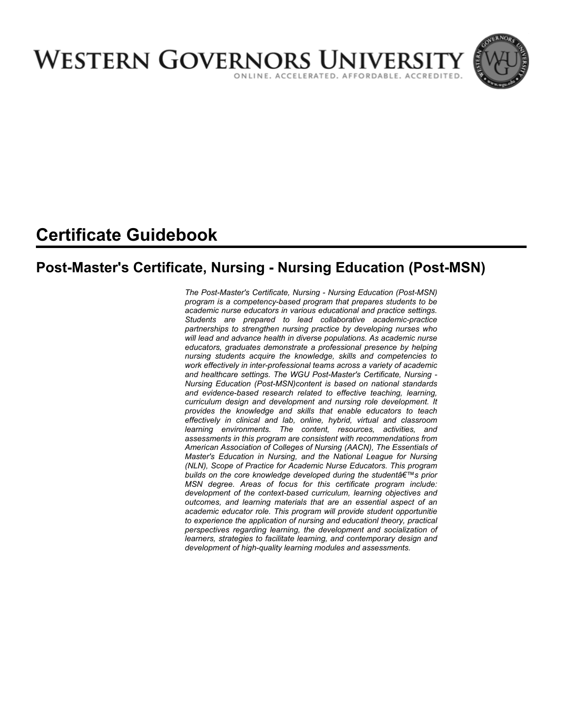

# **Certificate Guidebook**

## **Post-Master's Certificate, Nursing - Nursing Education (Post-MSN)**

*The Post-Master's Certificate, Nursing - Nursing Education (Post-MSN) program is a competency-based program that prepares students to be academic nurse educators in various educational and practice settings. Students are prepared to lead collaborative academic-practice partnerships to strengthen nursing practice by developing nurses who will lead and advance health in diverse populations. As academic nurse educators, graduates demonstrate a professional presence by helping nursing students acquire the knowledge, skills and competencies to work effectively in inter-professional teams across a variety of academic and healthcare settings. The WGU Post-Master's Certificate, Nursing - Nursing Education (Post-MSN)content is based on national standards and evidence-based research related to effective teaching, learning, curriculum design and development and nursing role development. It provides the knowledge and skills that enable educators to teach effectively in clinical and lab, online, hybrid, virtual and classroom learning environments. The content, resources, activities, and assessments in this program are consistent with recommendations from American Association of Colleges of Nursing (AACN), The Essentials of Master's Education in Nursing, and the National League for Nursing (NLN), Scope of Practice for Academic Nurse Educators. This program*  **builds on the core knowledge developed during the student's prior** *MSN degree. Areas of focus for this certificate program include: development of the context-based curriculum, learning objectives and outcomes, and learning materials that are an essential aspect of an academic educator role. This program will provide student opportunitie to experience the application of nursing and educationl theory, practical perspectives regarding learning, the development and socialization of learners, strategies to facilitate learning, and contemporary design and development of high-quality learning modules and assessments.*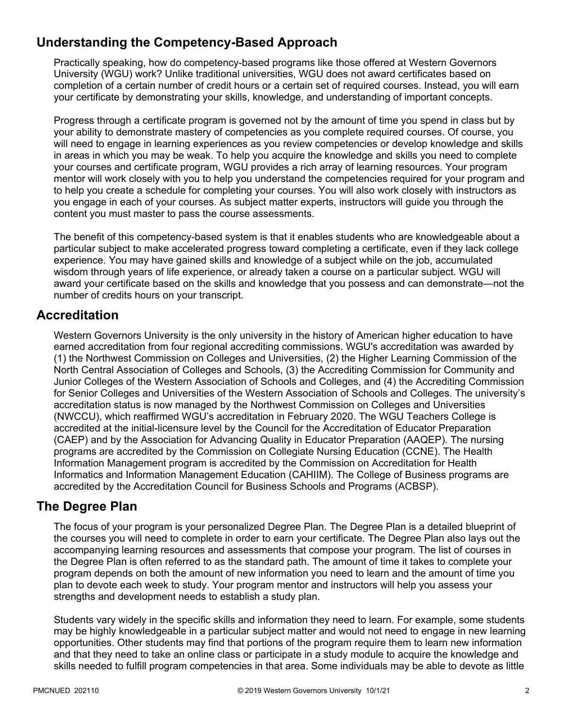## **Understanding the Competency-Based Approach**

Practically speaking, how do competency-based programs like those offered at Western Governors University (WGU) work? Unlike traditional universities, WGU does not award certificates based on completion of a certain number of credit hours or a certain set of required courses. Instead, you will earn your certificate by demonstrating your skills, knowledge, and understanding of important concepts.

Progress through a certificate program is governed not by the amount of time you spend in class but by your ability to demonstrate mastery of competencies as you complete required courses. Of course, you will need to engage in learning experiences as you review competencies or develop knowledge and skills in areas in which you may be weak. To help you acquire the knowledge and skills you need to complete your courses and certificate program, WGU provides a rich array of learning resources. Your program mentor will work closely with you to help you understand the competencies required for your program and to help you create a schedule for completing your courses. You will also work closely with instructors as you engage in each of your courses. As subject matter experts, instructors will guide you through the content you must master to pass the course assessments.

The benefit of this competency-based system is that it enables students who are knowledgeable about a particular subject to make accelerated progress toward completing a certificate, even if they lack college experience. You may have gained skills and knowledge of a subject while on the job, accumulated wisdom through years of life experience, or already taken a course on a particular subject. WGU will award your certificate based on the skills and knowledge that you possess and can demonstrate—not the number of credits hours on your transcript.

### **Accreditation**

Western Governors University is the only university in the history of American higher education to have earned accreditation from four regional accrediting commissions. WGU's accreditation was awarded by (1) the Northwest Commission on Colleges and Universities, (2) the Higher Learning Commission of the North Central Association of Colleges and Schools, (3) the Accrediting Commission for Community and Junior Colleges of the Western Association of Schools and Colleges, and (4) the Accrediting Commission for Senior Colleges and Universities of the Western Association of Schools and Colleges. The university's accreditation status is now managed by the Northwest Commission on Colleges and Universities (NWCCU), which reaffirmed WGU's accreditation in February 2020. The WGU Teachers College is accredited at the initial-licensure level by the Council for the Accreditation of Educator Preparation (CAEP) and by the Association for Advancing Quality in Educator Preparation (AAQEP). The nursing programs are accredited by the Commission on Collegiate Nursing Education (CCNE). The Health Information Management program is accredited by the Commission on Accreditation for Health Informatics and Information Management Education (CAHIIM). The College of Business programs are accredited by the Accreditation Council for Business Schools and Programs (ACBSP).

### **The Degree Plan**

The focus of your program is your personalized Degree Plan. The Degree Plan is a detailed blueprint of the courses you will need to complete in order to earn your certificate. The Degree Plan also lays out the accompanying learning resources and assessments that compose your program. The list of courses in the Degree Plan is often referred to as the standard path. The amount of time it takes to complete your program depends on both the amount of new information you need to learn and the amount of time you plan to devote each week to study. Your program mentor and instructors will help you assess your strengths and development needs to establish a study plan.

Students vary widely in the specific skills and information they need to learn. For example, some students may be highly knowledgeable in a particular subject matter and would not need to engage in new learning opportunities. Other students may find that portions of the program require them to learn new information and that they need to take an online class or participate in a study module to acquire the knowledge and skills needed to fulfill program competencies in that area. Some individuals may be able to devote as little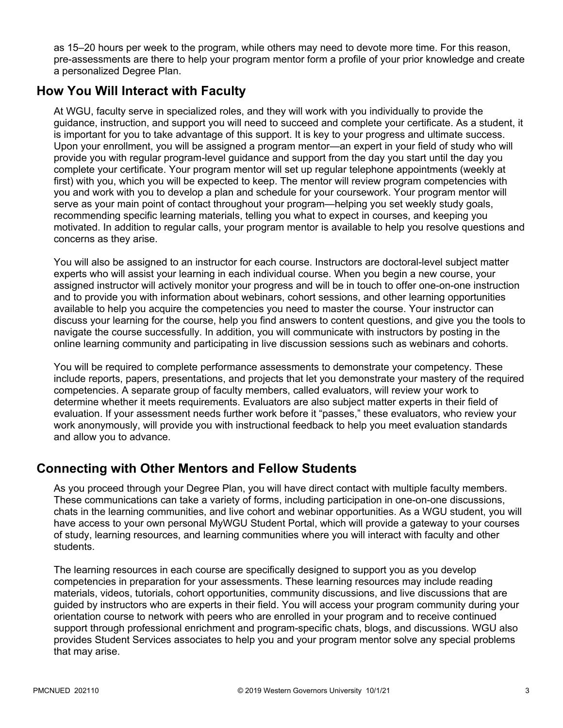as 15–20 hours per week to the program, while others may need to devote more time. For this reason, pre-assessments are there to help your program mentor form a profile of your prior knowledge and create a personalized Degree Plan.

### **How You Will Interact with Faculty**

At WGU, faculty serve in specialized roles, and they will work with you individually to provide the guidance, instruction, and support you will need to succeed and complete your certificate. As a student, it is important for you to take advantage of this support. It is key to your progress and ultimate success. Upon your enrollment, you will be assigned a program mentor—an expert in your field of study who will provide you with regular program-level guidance and support from the day you start until the day you complete your certificate. Your program mentor will set up regular telephone appointments (weekly at first) with you, which you will be expected to keep. The mentor will review program competencies with you and work with you to develop a plan and schedule for your coursework. Your program mentor will serve as your main point of contact throughout your program—helping you set weekly study goals, recommending specific learning materials, telling you what to expect in courses, and keeping you motivated. In addition to regular calls, your program mentor is available to help you resolve questions and concerns as they arise.

You will also be assigned to an instructor for each course. Instructors are doctoral-level subject matter experts who will assist your learning in each individual course. When you begin a new course, your assigned instructor will actively monitor your progress and will be in touch to offer one-on-one instruction and to provide you with information about webinars, cohort sessions, and other learning opportunities available to help you acquire the competencies you need to master the course. Your instructor can discuss your learning for the course, help you find answers to content questions, and give you the tools to navigate the course successfully. In addition, you will communicate with instructors by posting in the online learning community and participating in live discussion sessions such as webinars and cohorts.

You will be required to complete performance assessments to demonstrate your competency. These include reports, papers, presentations, and projects that let you demonstrate your mastery of the required competencies. A separate group of faculty members, called evaluators, will review your work to determine whether it meets requirements. Evaluators are also subject matter experts in their field of evaluation. If your assessment needs further work before it "passes," these evaluators, who review your work anonymously, will provide you with instructional feedback to help you meet evaluation standards and allow you to advance.

### **Connecting with Other Mentors and Fellow Students**

As you proceed through your Degree Plan, you will have direct contact with multiple faculty members. These communications can take a variety of forms, including participation in one-on-one discussions, chats in the learning communities, and live cohort and webinar opportunities. As a WGU student, you will have access to your own personal MyWGU Student Portal, which will provide a gateway to your courses of study, learning resources, and learning communities where you will interact with faculty and other students.

The learning resources in each course are specifically designed to support you as you develop competencies in preparation for your assessments. These learning resources may include reading materials, videos, tutorials, cohort opportunities, community discussions, and live discussions that are guided by instructors who are experts in their field. You will access your program community during your orientation course to network with peers who are enrolled in your program and to receive continued support through professional enrichment and program-specific chats, blogs, and discussions. WGU also provides Student Services associates to help you and your program mentor solve any special problems that may arise.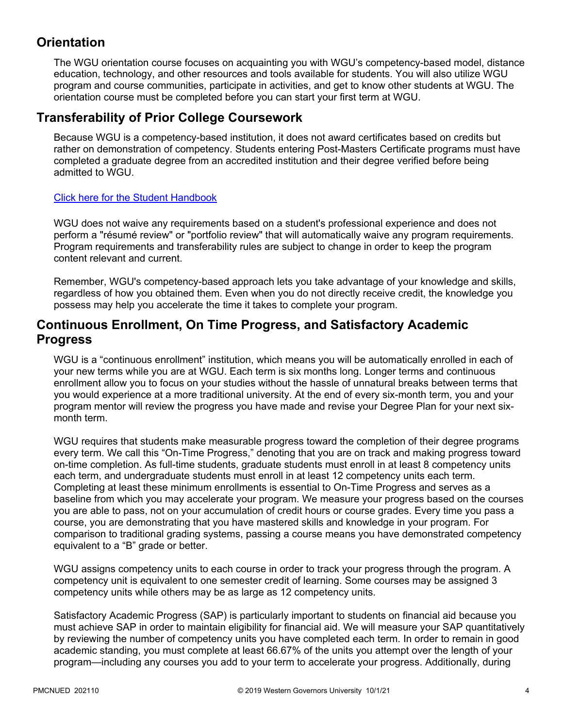## **Orientation**

The WGU orientation course focuses on acquainting you with WGU's competency-based model, distance education, technology, and other resources and tools available for students. You will also utilize WGU program and course communities, participate in activities, and get to know other students at WGU. The orientation course must be completed before you can start your first term at WGU.

### **Transferability of Prior College Coursework**

Because WGU is a competency-based institution, it does not award certificates based on credits but rather on demonstration of competency. Students entering Post-Masters Certificate programs must have completed a graduate degree from an accredited institution and their degree verified before being admitted to WGU.

#### [Click here for the Student Handbook](http://cm.wgu.edu/)

WGU does not waive any requirements based on a student's professional experience and does not perform a "résumé review" or "portfolio review" that will automatically waive any program requirements. Program requirements and transferability rules are subject to change in order to keep the program content relevant and current.

Remember, WGU's competency-based approach lets you take advantage of your knowledge and skills, regardless of how you obtained them. Even when you do not directly receive credit, the knowledge you possess may help you accelerate the time it takes to complete your program.

### **Continuous Enrollment, On Time Progress, and Satisfactory Academic Progress**

WGU is a "continuous enrollment" institution, which means you will be automatically enrolled in each of your new terms while you are at WGU. Each term is six months long. Longer terms and continuous enrollment allow you to focus on your studies without the hassle of unnatural breaks between terms that you would experience at a more traditional university. At the end of every six-month term, you and your program mentor will review the progress you have made and revise your Degree Plan for your next sixmonth term.

WGU requires that students make measurable progress toward the completion of their degree programs every term. We call this "On-Time Progress," denoting that you are on track and making progress toward on-time completion. As full-time students, graduate students must enroll in at least 8 competency units each term, and undergraduate students must enroll in at least 12 competency units each term. Completing at least these minimum enrollments is essential to On-Time Progress and serves as a baseline from which you may accelerate your program. We measure your progress based on the courses you are able to pass, not on your accumulation of credit hours or course grades. Every time you pass a course, you are demonstrating that you have mastered skills and knowledge in your program. For comparison to traditional grading systems, passing a course means you have demonstrated competency equivalent to a "B" grade or better.

WGU assigns competency units to each course in order to track your progress through the program. A competency unit is equivalent to one semester credit of learning. Some courses may be assigned 3 competency units while others may be as large as 12 competency units.

Satisfactory Academic Progress (SAP) is particularly important to students on financial aid because you must achieve SAP in order to maintain eligibility for financial aid. We will measure your SAP quantitatively by reviewing the number of competency units you have completed each term. In order to remain in good academic standing, you must complete at least 66.67% of the units you attempt over the length of your program—including any courses you add to your term to accelerate your progress. Additionally, during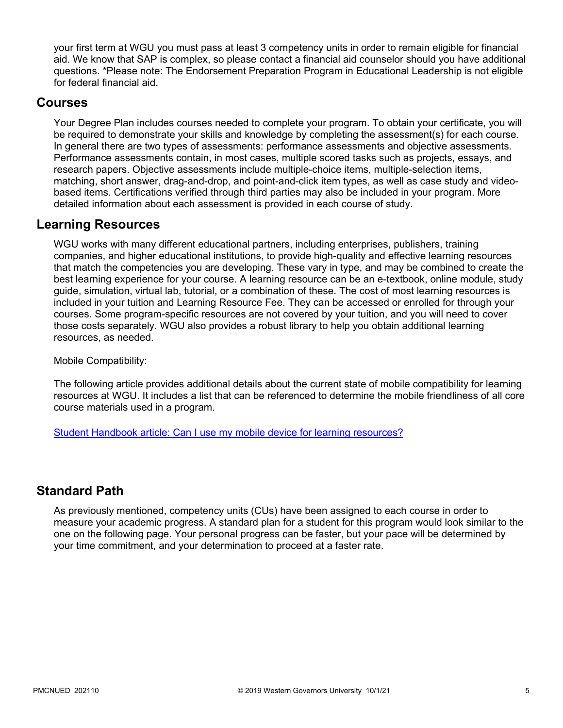your first term at WGU you must pass at least 3 competency units in order to remain eligible for financial aid. We know that SAP is complex, so please contact a financial aid counselor should you have additional questions. \*Please note: The Endorsement Preparation Program in Educational Leadership is not eligible for federal financial aid.

#### **Courses**

Your Degree Plan includes courses needed to complete your program. To obtain your certificate, you will be required to demonstrate your skills and knowledge by completing the assessment(s) for each course. In general there are two types of assessments: performance assessments and objective assessments. Performance assessments contain, in most cases, multiple scored tasks such as projects, essays, and research papers. Objective assessments include multiple-choice items, multiple-selection items, matching, short answer, drag-and-drop, and point-and-click item types, as well as case study and videobased items. Certifications verified through third parties may also be included in your program. More detailed information about each assessment is provided in each course of study.

#### **Learning Resources**

WGU works with many different educational partners, including enterprises, publishers, training companies, and higher educational institutions, to provide high-quality and effective learning resources that match the competencies you are developing. These vary in type, and may be combined to create the best learning experience for your course. A learning resource can be an e-textbook, online module, study guide, simulation, virtual lab, tutorial, or a combination of these. The cost of most learning resources is included in your tuition and Learning Resource Fee. They can be accessed or enrolled for through your courses. Some program-specific resources are not covered by your tuition, and you will need to cover those costs separately. WGU also provides a robust library to help you obtain additional learning resources, as needed.

Mobile Compatibility:

The following article provides additional details about the current state of mobile compatibility for learning resources at WGU. It includes a list that can be referenced to determine the mobile friendliness of all core course materials used in a program.

[Student Handbook article: Can I use my mobile device for learning resources?](https://cm.wgu.edu/t5/Frequently-Asked-Questions/Can-I-use-my-mobile-device-for-learning-resources/ta-p/396)

### **Standard Path**

As previously mentioned, competency units (CUs) have been assigned to each course in order to measure your academic progress. A standard plan for a student for this program would look similar to the one on the following page. Your personal progress can be faster, but your pace will be determined by your time commitment, and your determination to proceed at a faster rate.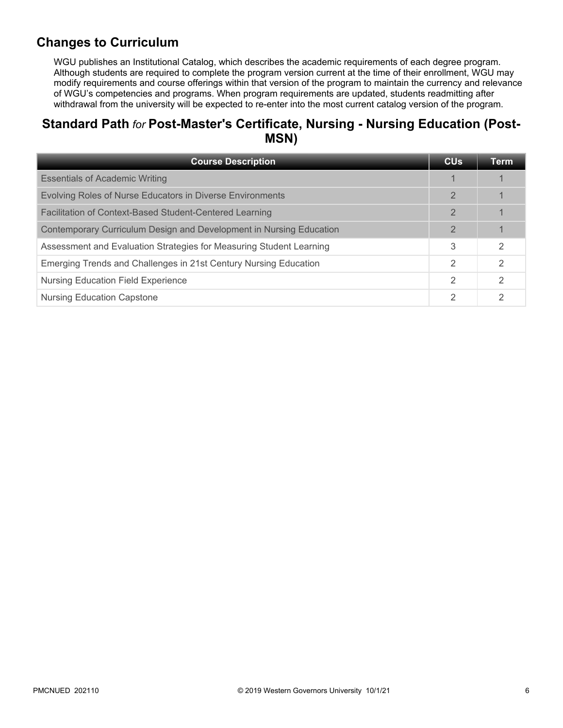## **Changes to Curriculum**

WGU publishes an Institutional Catalog, which describes the academic requirements of each degree program. Although students are required to complete the program version current at the time of their enrollment, WGU may modify requirements and course offerings within that version of the program to maintain the currency and relevance of WGU's competencies and programs. When program requirements are updated, students readmitting after withdrawal from the university will be expected to re-enter into the most current catalog version of the program.

### **Standard Path** *for* **Post-Master's Certificate, Nursing - Nursing Education (Post-MSN)**

| <b>Course Description</b>                                           | <b>CU<sub>s</sub></b> | Term          |
|---------------------------------------------------------------------|-----------------------|---------------|
| <b>Essentials of Academic Writing</b>                               |                       |               |
| Evolving Roles of Nurse Educators in Diverse Environments           | $\mathbf{2}$          |               |
| Facilitation of Context-Based Student-Centered Learning             | $\mathbf{2}$          |               |
| Contemporary Curriculum Design and Development in Nursing Education | $\mathbf{2}$          |               |
| Assessment and Evaluation Strategies for Measuring Student Learning | 3                     | 2             |
| Emerging Trends and Challenges in 21st Century Nursing Education    | 2                     | $\mathcal{P}$ |
| <b>Nursing Education Field Experience</b>                           | 2                     | 2             |
| <b>Nursing Education Capstone</b>                                   | 2                     | 2             |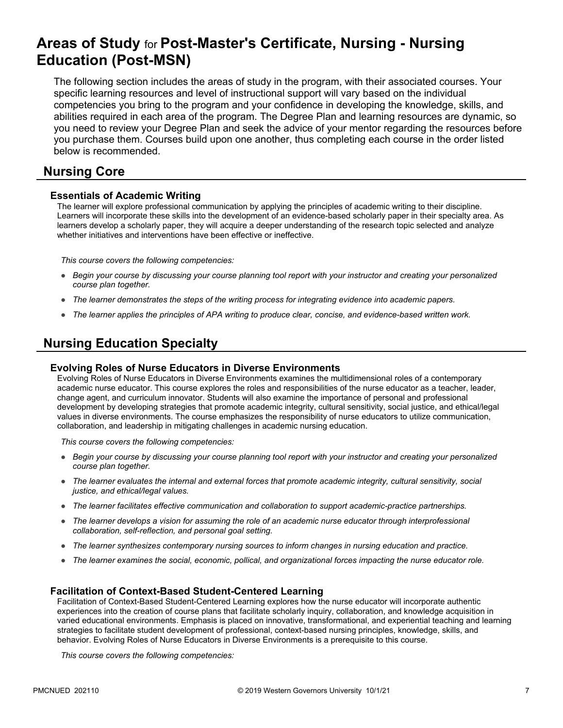## **Areas of Study** for **Post-Master's Certificate, Nursing - Nursing Education (Post-MSN)**

The following section includes the areas of study in the program, with their associated courses. Your specific learning resources and level of instructional support will vary based on the individual competencies you bring to the program and your confidence in developing the knowledge, skills, and abilities required in each area of the program. The Degree Plan and learning resources are dynamic, so you need to review your Degree Plan and seek the advice of your mentor regarding the resources before you purchase them. Courses build upon one another, thus completing each course in the order listed below is recommended.

#### **Nursing Core**

#### **Essentials of Academic Writing**

The learner will explore professional communication by applying the principles of academic writing to their discipline. Learners will incorporate these skills into the development of an evidence-based scholarly paper in their specialty area. As learners develop a scholarly paper, they will acquire a deeper understanding of the research topic selected and analyze whether initiatives and interventions have been effective or ineffective.

*This course covers the following competencies:*

- *Begin your course by discussing your course planning tool report with your instructor and creating your personalized course plan together.*
- *The learner demonstrates the steps of the writing process for integrating evidence into academic papers.*
- *The learner applies the principles of APA writing to produce clear, concise, and evidence-based written work.*

### **Nursing Education Specialty**

#### **Evolving Roles of Nurse Educators in Diverse Environments**

Evolving Roles of Nurse Educators in Diverse Environments examines the multidimensional roles of a contemporary academic nurse educator. This course explores the roles and responsibilities of the nurse educator as a teacher, leader, change agent, and curriculum innovator. Students will also examine the importance of personal and professional development by developing strategies that promote academic integrity, cultural sensitivity, social justice, and ethical/legal values in diverse environments. The course emphasizes the responsibility of nurse educators to utilize communication, collaboration, and leadership in mitigating challenges in academic nursing education.

*This course covers the following competencies:*

- *Begin your course by discussing your course planning tool report with your instructor and creating your personalized course plan together.*
- *The learner evaluates the internal and external forces that promote academic integrity, cultural sensitivity, social justice, and ethical/legal values.*
- *The learner facilitates effective communication and collaboration to support academic-practice partnerships.*
- *The learner develops a vision for assuming the role of an academic nurse educator through interprofessional collaboration, self-reflection, and personal goal setting.*
- *The learner synthesizes contemporary nursing sources to inform changes in nursing education and practice.*
- *The learner examines the social, economic, pollical, and organizational forces impacting the nurse educator role.*

#### **Facilitation of Context-Based Student-Centered Learning**

Facilitation of Context-Based Student-Centered Learning explores how the nurse educator will incorporate authentic experiences into the creation of course plans that facilitate scholarly inquiry, collaboration, and knowledge acquisition in varied educational environments. Emphasis is placed on innovative, transformational, and experiential teaching and learning strategies to facilitate student development of professional, context-based nursing principles, knowledge, skills, and behavior. Evolving Roles of Nurse Educators in Diverse Environments is a prerequisite to this course.

*This course covers the following competencies:*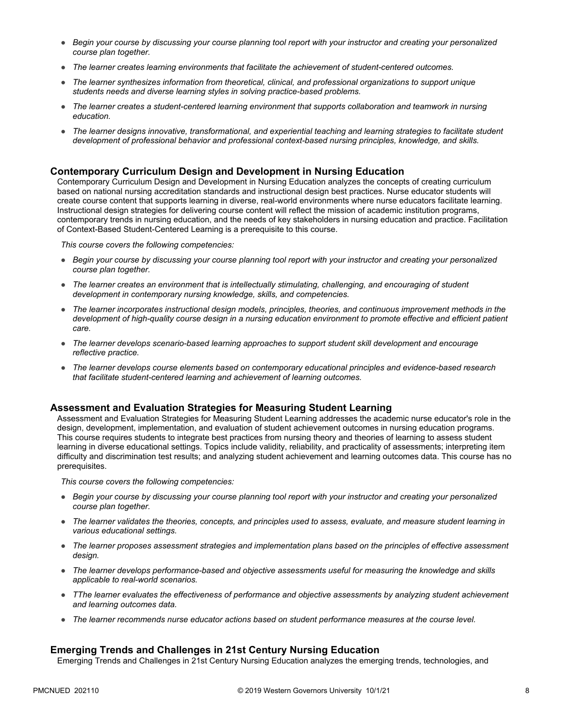- *Begin your course by discussing your course planning tool report with your instructor and creating your personalized course plan together.*
- *The learner creates learning environments that facilitate the achievement of student-centered outcomes.*
- *The learner synthesizes information from theoretical, clinical, and professional organizations to support unique students needs and diverse learning styles in solving practice-based problems.*
- *The learner creates a student-centered learning environment that supports collaboration and teamwork in nursing education.*
- *The learner designs innovative, transformational, and experiential teaching and learning strategies to facilitate student development of professional behavior and professional context-based nursing principles, knowledge, and skills.*

#### **Contemporary Curriculum Design and Development in Nursing Education**

Contemporary Curriculum Design and Development in Nursing Education analyzes the concepts of creating curriculum based on national nursing accreditation standards and instructional design best practices. Nurse educator students will create course content that supports learning in diverse, real-world environments where nurse educators facilitate learning. Instructional design strategies for delivering course content will reflect the mission of academic institution programs, contemporary trends in nursing education, and the needs of key stakeholders in nursing education and practice. Facilitation of Context-Based Student-Centered Learning is a prerequisite to this course.

*This course covers the following competencies:*

- *Begin your course by discussing your course planning tool report with your instructor and creating your personalized course plan together.*
- *The learner creates an environment that is intellectually stimulating, challenging, and encouraging of student development in contemporary nursing knowledge, skills, and competencies.*
- *The learner incorporates instructional design models, principles, theories, and continuous improvement methods in the*  development of high-quality course design in a nursing education environment to promote effective and efficient patient *care.*
- *The learner develops scenario-based learning approaches to support student skill development and encourage reflective practice.*
- *The learner develops course elements based on contemporary educational principles and evidence-based research that facilitate student-centered learning and achievement of learning outcomes.*

#### **Assessment and Evaluation Strategies for Measuring Student Learning**

Assessment and Evaluation Strategies for Measuring Student Learning addresses the academic nurse educator's role in the design, development, implementation, and evaluation of student achievement outcomes in nursing education programs. This course requires students to integrate best practices from nursing theory and theories of learning to assess student learning in diverse educational settings. Topics include validity, reliability, and practicality of assessments; interpreting item difficulty and discrimination test results; and analyzing student achievement and learning outcomes data. This course has no prerequisites.

*This course covers the following competencies:*

- *Begin your course by discussing your course planning tool report with your instructor and creating your personalized course plan together.*
- *The learner validates the theories, concepts, and principles used to assess, evaluate, and measure student learning in various educational settings.*
- *The learner proposes assessment strategies and implementation plans based on the principles of effective assessment design.*
- *The learner develops performance-based and objective assessments useful for measuring the knowledge and skills applicable to real-world scenarios.*
- *TThe learner evaluates the effectiveness of performance and objective assessments by analyzing student achievement and learning outcomes data.*
- *The learner recommends nurse educator actions based on student performance measures at the course level.*

#### **Emerging Trends and Challenges in 21st Century Nursing Education**

Emerging Trends and Challenges in 21st Century Nursing Education analyzes the emerging trends, technologies, and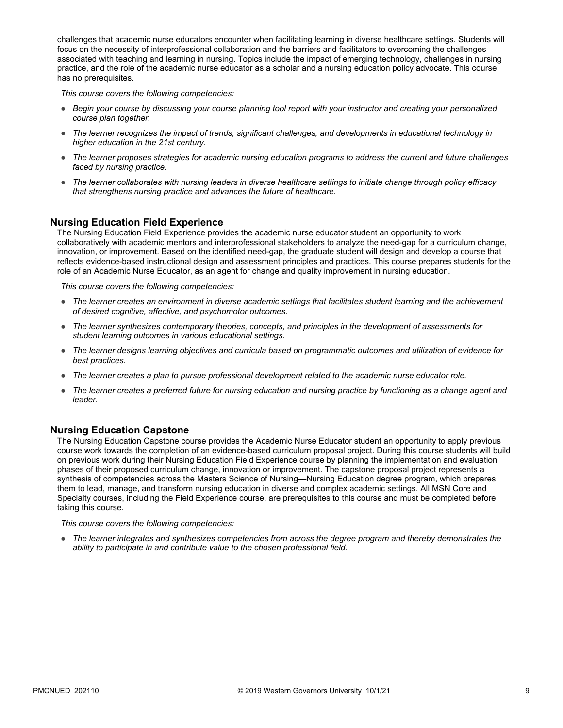challenges that academic nurse educators encounter when facilitating learning in diverse healthcare settings. Students will focus on the necessity of interprofessional collaboration and the barriers and facilitators to overcoming the challenges associated with teaching and learning in nursing. Topics include the impact of emerging technology, challenges in nursing practice, and the role of the academic nurse educator as a scholar and a nursing education policy advocate. This course has no prerequisites.

*This course covers the following competencies:*

- *Begin your course by discussing your course planning tool report with your instructor and creating your personalized course plan together.*
- *The learner recognizes the impact of trends, significant challenges, and developments in educational technology in higher education in the 21st century.*
- *The learner proposes strategies for academic nursing education programs to address the current and future challenges faced by nursing practice.*
- *The learner collaborates with nursing leaders in diverse healthcare settings to initiate change through policy efficacy that strengthens nursing practice and advances the future of healthcare.*

#### **Nursing Education Field Experience**

The Nursing Education Field Experience provides the academic nurse educator student an opportunity to work collaboratively with academic mentors and interprofessional stakeholders to analyze the need-gap for a curriculum change, innovation, or improvement. Based on the identified need-gap, the graduate student will design and develop a course that reflects evidence-based instructional design and assessment principles and practices. This course prepares students for the role of an Academic Nurse Educator, as an agent for change and quality improvement in nursing education.

*This course covers the following competencies:*

- *The learner creates an environment in diverse academic settings that facilitates student learning and the achievement of desired cognitive, affective, and psychomotor outcomes.*
- *The learner synthesizes contemporary theories, concepts, and principles in the development of assessments for student learning outcomes in various educational settings.*
- *The learner designs learning objectives and curricula based on programmatic outcomes and utilization of evidence for best practices.*
- *The learner creates a plan to pursue professional development related to the academic nurse educator role.*
- The learner creates a preferred future for nursing education and nursing practice by functioning as a change agent and *leader.*

#### **Nursing Education Capstone**

The Nursing Education Capstone course provides the Academic Nurse Educator student an opportunity to apply previous course work towards the completion of an evidence-based curriculum proposal project. During this course students will build on previous work during their Nursing Education Field Experience course by planning the implementation and evaluation phases of their proposed curriculum change, innovation or improvement. The capstone proposal project represents a synthesis of competencies across the Masters Science of Nursing—Nursing Education degree program, which prepares them to lead, manage, and transform nursing education in diverse and complex academic settings. All MSN Core and Specialty courses, including the Field Experience course, are prerequisites to this course and must be completed before taking this course.

*This course covers the following competencies:*

● *The learner integrates and synthesizes competencies from across the degree program and thereby demonstrates the ability to participate in and contribute value to the chosen professional field.*